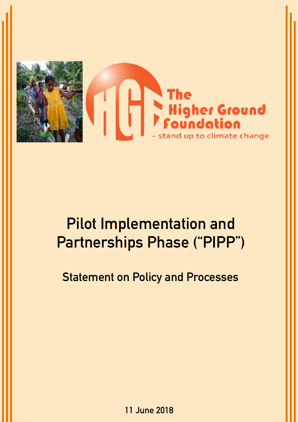

# **Pilot Implementation and Partnerships Phase ("PIPP")**

**Statement on Policy and Processes**

**11 June 2018**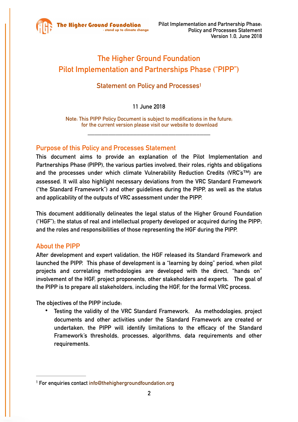

# **The Higher Ground Foundation Pilot Implementation and Partnerships Phase ("PIPP")**

# **Statement on Policy and Processe[s1](#page-1-0)**

#### <span id="page-1-1"></span>**11 June 2018**

**Note: This PIPP Policy Document is subject to modifications in the future; for the current version please visit our website to download** 

**\_\_\_\_\_\_\_\_\_\_\_\_\_\_\_\_\_\_\_\_\_\_\_\_\_\_\_\_\_\_\_\_\_\_\_** 

#### **Purpose of this Policy and Processes Statement**

**This document aims to provide an explanation of the Pilot Implementation and Partnerships Phase (PIPP), the various parties involved, their roles, rights and obligations and the processes under which climate Vulnerability Reduction Credits (VRC's™) are assessed. It will also highlight necessary deviations from the VRC Standard Framework ("the Standard Framework") and other guidelines during the PIPP, as well as the status and applicability of the outputs of VRC assessment under the PIPP.** 

**This document additionally delineates the legal status of the Higher Ground Foundation ("HGF"); the status of real and intellectual property developed or acquired during the PIPP; and the roles and responsibilities of those representing the HGF during the PIPP.** 

#### **About the PIPP**

**After development and expert validation, the HGF released its Standard Framework and launched the PIPP. This phase of development is a "learning by doing" period, when pilot projects and correlating methodologies are developed with the direct, "hands on" involvement of the HGF, project proponents, other stakeholders and experts. The goal of the PIPP is to prepare all stakeholders, including the HGF, for the formal VRC process.**

**The objectives of the PIPP include:**

• **Testing the validity of the VRC Standard Framework. As methodologies, project documents and other activities under the Standard Framework are created or undertaken, the PIPP will identify limitations to the efficacy of the Standard Framework's thresholds, processes, algorithms, data requirements and other requirements.** 

<span id="page-1-0"></span>**For enquiries contact [info@thehighergroundfoundation.org](http://info@thehighergroundfoundation.org) [1](#page-1-1)**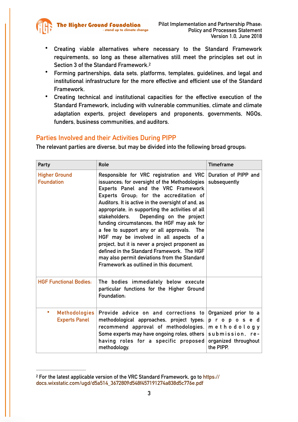

- **Creating viable alternatives where necessary to the Standard Framework requirements, so long as these alternatives still meet the principles set out in Section 3 of the Standard Framework[.2](#page-2-0)**
- <span id="page-2-1"></span>• **Forming partnerships, data sets, platforms, templates, guidelines, and legal and institutional infrastructure for the more effective and efficient use of the Standard Framework.**
- **Creating technical and institutional capacities for the effective execution of the Standard Framework, including with vulnerable communities, climate and climate adaptation experts, project developers and proponents, governments, NGOs, funders, business communities, and auditors.**

#### **Parties Involved and their Activities During PIPP**

**The relevant parties are diverse, but may be divided into the following broad groups:**

| Party                                             | Role                                                                                                                                                                                                                                                                                                                                                                                                                                                                                                                                                                                                                                                                  | <b>Timeframe</b>                                                                                        |
|---------------------------------------------------|-----------------------------------------------------------------------------------------------------------------------------------------------------------------------------------------------------------------------------------------------------------------------------------------------------------------------------------------------------------------------------------------------------------------------------------------------------------------------------------------------------------------------------------------------------------------------------------------------------------------------------------------------------------------------|---------------------------------------------------------------------------------------------------------|
| <b>Higher Ground</b><br><b>Foundation</b>         | Responsible for VRC registration and VRC<br>issuances, for oversight of the Methodologies<br>Experts Panel and the VRC Framework<br>Experts Group, for the accreditation of<br>Auditors. It is active in the oversight of and, as<br>appropriate, in supporting the activities of all<br>Depending on the project<br>stakeholders.<br>funding circumstances, the HGF may ask for<br>a fee to support any or all approvals. The<br>HGF may be involved in all aspects of a<br>project, but it is never a project proponent as<br>defined in the Standard Framework. The HGF<br>may also permit deviations from the Standard<br>Framework as outlined in this document. | Duration of PIPP and<br>subsequently                                                                    |
| <b>HGF Functional Bodies:</b>                     | The bodies immediately below execute<br>particular functions for the Higher Ground<br>Foundation:                                                                                                                                                                                                                                                                                                                                                                                                                                                                                                                                                                     |                                                                                                         |
| ٠<br><b>Methodologies</b><br><b>Experts Panel</b> | Provide advice on and corrections to<br>methodological approaches, project types,<br>recommend approval of methodologies.<br>Some experts may have ongoing roles, others<br>having roles for a specific proposed<br>methodology.                                                                                                                                                                                                                                                                                                                                                                                                                                      | Organized prior to a<br>proposed<br>methodology<br>submission, re-<br>organized throughout<br>the PIPP. |

<span id="page-2-0"></span>**[For the latest applicable version of the VRC Standard Framework, go to https://](https://docs.wixstatic.com/ugd/d5a514_3672809d548f457191274a838d5c776e.pdf) [2](#page-2-1) [docs.wixstatic.com/ugd/d5a514\\_3672809d548f457191274a838d5c776e.pdf](https://docs.wixstatic.com/ugd/d5a514_3672809d548f457191274a838d5c776e.pdf)**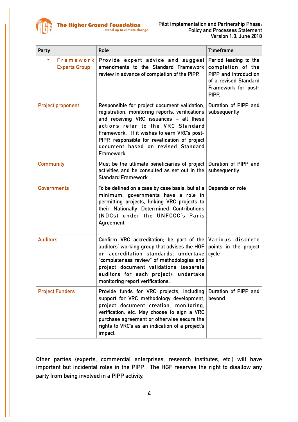

| Party                                          | Role                                                                                                                                                                                                                                                                                                                                | <b>Timeframe</b>                                                                                                             |
|------------------------------------------------|-------------------------------------------------------------------------------------------------------------------------------------------------------------------------------------------------------------------------------------------------------------------------------------------------------------------------------------|------------------------------------------------------------------------------------------------------------------------------|
| Framework<br>$\bullet$<br><b>Experts Group</b> | Provide expert advice and suggest<br>amendments to the Standard Framework<br>review in advance of completion of the PIPP.                                                                                                                                                                                                           | Period leading to the<br>completion of the<br>PIPP and introduction<br>of a revised Standard<br>Framework for post-<br>PIPP. |
| <b>Project proponent</b>                       | Responsible for project document validation,<br>registration, monitoring reports, verifications<br>and receiving VRC issuances - all these<br>actions refer to the VRC Standard<br>Framework. If it wishes to earn VRC's post-<br>PIPP, responsible for revalidation of project<br>document based on revised Standard<br>Framework. | Duration of PIPP and<br>subsequently                                                                                         |
| <b>Community</b>                               | Must be the ultimate beneficiaries of project<br>activities and be consulted as set out in the<br><b>Standard Framework.</b>                                                                                                                                                                                                        | Duration of PIPP and<br>subsequently                                                                                         |
| <b>Governments</b>                             | To be defined on a case by case basis, but at a<br>minimum, governments have a role in<br>permitting projects, linking VRC projects to<br>their Nationally Determined Contributions<br>(NDCs) under the UNFCCC's Paris<br>Agreement.                                                                                                | Depends on role                                                                                                              |
| <b>Auditors</b>                                | Confirm VRC accreditation, be part of the<br>auditors' working group that advises the HGF<br>on accreditation standards; undertake<br>"completeness review" of methodologies and<br>project document validations (separate<br>auditors for each project); undertake<br>monitoring report verifications.                             | Various discrete<br>points in the project<br>cycle                                                                           |
| <b>Project Funders</b>                         | Provide funds for VRC projects, including<br>support for VRC methodology development,<br>project document creation, monitoring,<br>verification, etc. May choose to sign a VRC<br>purchase agreement or otherwise secure the<br>rights to VRC's as an indication of a project's<br>impact.                                          | Duration of PIPP and<br>beyond                                                                                               |

**Other parties (experts, commercial enterprises, research institutes, etc.) will have important but incidental roles in the PIPP. The HGF reserves the right to disallow any party from being involved in a PIPP activity.**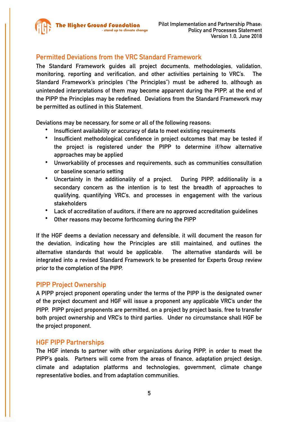

# **Permitted Deviations from the VRC Standard Framework**

**The Standard Framework guides all project documents, methodologies, validation, monitoring, reporting and verification, and other activities pertaining to VRC's. The Standard Framework's principles ("the Principles") must be adhered to, although as unintended interpretations of them may become apparent during the PIPP, at the end of the PIPP the Principles may be redefined. Deviations from the Standard Framework may be permitted as outlined in this Statement.** 

**Deviations may be necessary, for some or all of the following reasons:**

- **Insufficient availability or accuracy of data to meet existing requirements**
- **Insufficient methodological confidence in project outcomes that may be tested if the project is registered under the PIPP to determine if/how alternative approaches may be applied**
- **Unworkability of processes and requirements, such as communities consultation or baseline scenario setting**
- **Uncertainty in the additionality of a project. During PIPP, additionality is a secondary concern as the intention is to test the breadth of approaches to qualifying, quantifying VRC's, and processes in engagement with the various stakeholders**
- **Lack of accreditation of auditors, if there are no approved accreditation guidelines**
- **Other reasons may become forthcoming during the PIPP**

**If the HGF deems a deviation necessary and defensible, it will document the reason for the deviation, indicating how the Principles are still maintained, and outlines the alternative standards that would be applicable. The alternative standards will be integrated into a revised Standard Framework to be presented for Experts Group review prior to the completion of the PIPP.** 

#### **PIPP Project Ownership**

**A PIPP project proponent operating under the terms of the PIPP is the designated owner of the project document and HGF will issue a proponent any applicable VRC's under the PIPP. PIPP project proponents are permitted, on a project by project basis, free to transfer both project ownership and VRC's to third parties. Under no circumstance shall HGF be the project proponent.** 

#### **HGF PIPP Partnerships**

**The HGF intends to partner with other organizations during PIPP, in order to meet the PIPP's goals. Partners will come from the areas of finance, adaptation project design, climate and adaptation platforms and technologies, government, climate change representative bodies, and from adaptation communities.**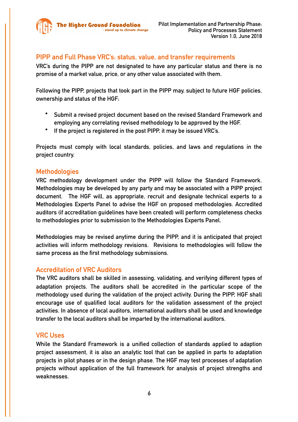

### **PIPP and Full Phase VRC's: status, value, and transfer requirements**

**VRC's during the PIPP are not designated to have any particular status and there is no promise of a market value, price, or any other value associated with them.** 

**Following the PIPP, projects that took part in the PIPP may, subject to future HGF policies, ownership and status of the HGF:** 

- **Submit a revised project document based on the revised Standard Framework and employing any correlating revised methodology to be approved by the HGF.**
- **If the project is registered in the post PIPP, it may be issued VRC's.**

**Projects must comply with local standards, policies, and laws and regulations in the project country.** 

#### **Methodologies**

**VRC methodology development under the PIPP will follow the Standard Framework. Methodologies may be developed by any party and may be associated with a PIPP project document. The HGF will, as appropriate, recruit and designate technical experts to a Methodologies Experts Panel to advise the HGF on proposed methodologies. Accredited auditors (if accreditation guidelines have been created) will perform completeness checks to methodologies prior to submission to the Methodologies Experts Panel.** 

**Methodologies may be revised anytime during the PIPP, and it is anticipated that project activities will inform methodology revisions. Revisions to methodologies will follow the same process as the first methodology submissions.** 

#### **Accreditation of VRC Auditors**

**The VRC auditors shall be skilled in assessing, validating, and verifying different types of adaptation projects. The auditors shall be accredited in the particular scope of the methodology used during the validation of the project activity. During the PIPP, HGF shall encourage use of qualified local auditors for the validation assessment of the project activities. In absence of local auditors, international auditors shall be used and knowledge transfer to the local auditors shall be imparted by the international auditors.** 

#### **VRC Uses**

**While the Standard Framework is a unified collection of standards applied to adaption project assessment, it is also an analytic tool that can be applied in parts to adaptation projects in pilot phases or in the design phase. The HGF may test processes of adaptation projects without application of the full framework for analysis of project strengths and weaknesses.**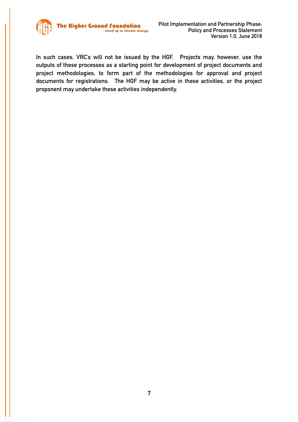

**In such cases, VRC's will not be issued by the HGF. Projects may, however, use the outputs of these processes as a starting point for development of project documents and project methodologies, to form part of the methodologies for approval and project documents for registrations. The HGF may be active in these activities, or the project proponent may undertake these activities independently.**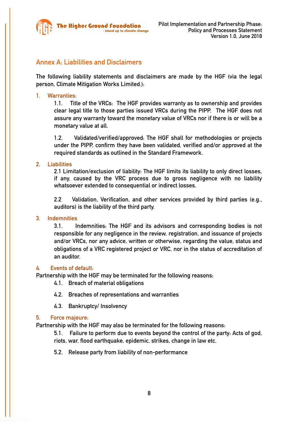

# **Annex A: Liabilities and Disclaimers**

**The following liability statements and disclaimers are made by the HGF (via the legal person, Climate Mitigation Works Limited.):**

#### **1. Warranties:**

**1.1. Title of the VRCs: The HGF provides warranty as to ownership and provides clear legal title to those parties issued VRCs during the PIPP. The HGF does not assure any warranty toward the monetary value of VRCs nor if there is or will be a monetary value at all.**

**1.2. Validated/verified/approved: The HGF shall for methodologies or projects under the PIPP, confirm they have been validated, verified and/or approved at the required standards as outlined in the Standard Framework.** 

#### **2. Liabilities**

**2.1 Limitation/exclusion of liability: The HGF limits its liability to only direct losses, if any, caused by the VRC process due to gross negligence with no liability whatsoever extended to consequential or indirect losses.**

**2.2 Validation, Verification, and other services provided by third parties (e.g., auditors) is the liability of the third party.**

#### **3. Indemnities**

**3.1. Indemnities: The HGF and its advisors and corresponding bodies is not responsible for any negligence in the review, registration, and issuance of projects and/or VRCs, nor any advice, written or otherwise, regarding the value, status and obligations of a VRC registered project or VRC, nor in the status of accreditation of an auditor.** 

#### **4. Events of default:**

**Partnership with the HGF may be terminated for the following reasons:** 

- **4.1. Breach of material obligations**
- **4.2. Breaches of representations and warranties**
- **4.3. Bankruptcy/ Insolvency**

#### **5. Force majeure:**

**Partnership with the HGF may also be terminated for the following reasons:**

**5.1. Failure to perform due to events beyond the control of the party: Acts of god, riots, war, flood earthquake, epidemic, strikes, change in law etc.**

**5.2. Release party from liability of non-performance**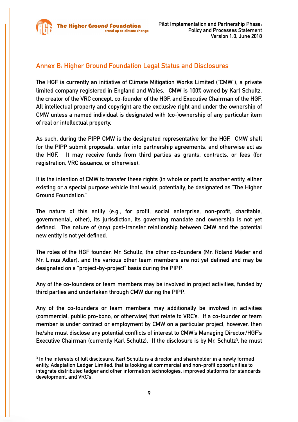

# **Annex B: Higher Ground Foundation Legal Status and Disclosures**

**The HGF is currently an initiative of Climate Mitigation Works Limited ("CMW"), a private limited company registered in England and Wales. CMW is 100% owned by Karl Schultz, the creator of the VRC concept, co-founder of the HGF, and Executive Chairman of the HGF. All intellectual property and copyright are the exclusive right and under the ownership of CMW unless a named individual is designated with (co-)ownership of any particular item of real or intellectual property.** 

**As such, during the PIPP CMW is the designated representative for the HGF. CMW shall for the PIPP submit proposals, enter into partnership agreements, and otherwise act as the HGF. It may receive funds from third parties as grants, contracts, or fees (for registration, VRC issuance, or otherwise).** 

**It is the intention of CMW to transfer these rights (in whole or part) to another entity, either existing or a special purpose vehicle that would, potentially, be designated as "The Higher Ground Foundation."** 

**The nature of this entity (e.g., for profit, social enterprise, non-profit, charitable, governmental, other), its jurisdiction, its governing mandate and ownership is not yet defined. The nature of (any) post-transfer relationship between CMW and the potential new entity is not yet defined.** 

**The roles of the HGF founder, Mr. Schultz, the other co-founders (Mr. Roland Mader and Mr. Linus Adler), and the various other team members are not yet defined and may be designated on a "project-by-project" basis during the PIPP.** 

**Any of the co-founders or team members may be involved in project activities, funded by third parties and undertaken through CMW during the PIPP.** 

**Any of the co-founders or team members may additionally be involved in activities (commercial, public pro-bono, or otherwise) that relate to VRC's. If a co-founder or team member is under contract or employment by CMW on a particular project, however, then he/she must disclose any potential conflicts of interest to CMW's Managing Director/HGF's Executive Chairman (currently Karl Schultz). If the disclosure is by Mr. Schultz<sup>3</sup>[,](#page-8-0) he must** 

<span id="page-8-1"></span><span id="page-8-0"></span>**In the interests of full disclosure, Karl Schultz is a director and shareholder in a newly formed [3](#page-8-1) entity, Adaptation Ledger Limited, that is looking at commercial and non-profit opportunities to integrate distributed ledger and other information technologies, improved platforms for standards development, and VRC's.**